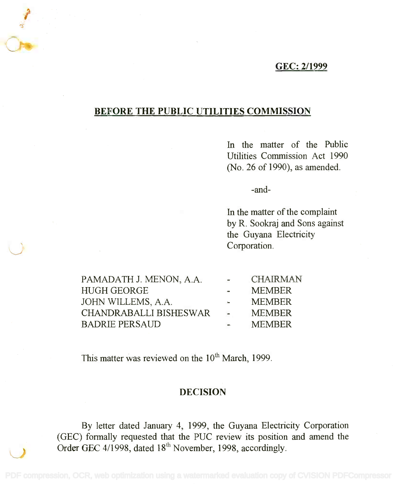## GEC: 2/1999 GEC: 2/1999

## BEFORE THE PUBLIC UTILITIES COMMISSION BEFORE THE PUBLIC UTILITIES COMMISSION

In the matter of the Public In the matter of the Public Utilities Commission Act 1990 Utilities Commission Act 1990 (No. 26 of 1990), as amended. (No. 26 of 1990), as amended.

-and-

In the matter of the complaint In the matter of the complaint by R. Sookraj and Sons against by R. Sookraj and Sons against the Guyana Electricity the Guyana Electricity Corporation. Corporation.

PAMADATH J. MENON, A.A. CHAIRMAN PAMADATH J. MENON, A.A. HUGH GEORGE MEMBER HUGH GEORGE JOHN WILLEMS, A.A. MEMBER JOHN WILLEMS, A.A. CHANDRABALLI BISHESWAR - MEMBER BADRIE PERSAUD MEMBER BADRIE PERSAUD CHAIRMAN MEMBER **MEMBER MEMBER** MEMBER

This matter was reviewed on the  $10<sup>th</sup>$  March, 1999.

## DECISION

By letter dated January 4, 1999, the Guyana Electricity Corporation By letter dated January 4, 1999, the Guyana Electricity Corporation (GEC) formally requested that the PUC review its position and amend the (GEC) formally requested that the PUC review its position and amend the Order GEC 4/1998, dated  $18<sup>th</sup>$  November, 1998, accordingly.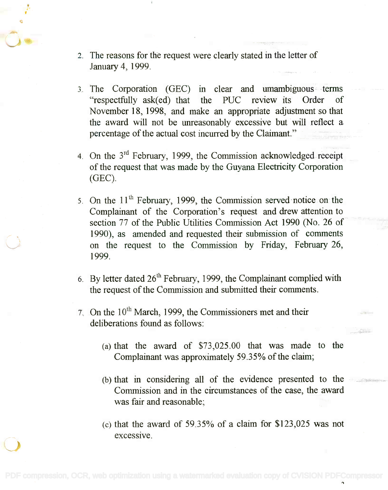- 2. The reasons for the request were clearly stated in the letter of 2. The reasons for the request were clearly stated in the letter of January 4, 1999. January 4, 1999.
- The Corporation (GEC) in clear and umambiguous terms 3. The Corporation (GEC) in clear and umambiguous terms "respectfully ask(ed) that the PUC review its Order of November 18, 1998, and make an appropriate adjustment so that November 18, 1998, and make an appropriate adjustment so that the award will not be unreasonably excessive but will reflect a the award will not be unreasonably excessive but will reflect a percentage of the actual cost incurred by the Claimant." percentage of the actual cost incurred by the Claimant."
- 4. On the  $3<sup>rd</sup>$  February, 1999, the Commission acknowledged receipt of the request that was made by the Guyana Electricity Corporation of the request that was made by the Guyana Electricity Corporation (GEC). (GEC).
- 5. On the  $11<sup>th</sup>$  February, 1999, the Commission served notice on the Complainant of the Corporation's request and drew attention to Complainant of the Corporation's request and drew attention to section 77 of the Public Utilities Commission Act 1990 (No. 26 of section 77 of the Public Utilities Commission Act 1990 (No. 26 of 1990), as amended and requested their submission of comments 1990), as amended and requested their submission of comments on the request to the Commission by Friday, February 26, on the request to the Commission by Friday, February 26, 1999. 1999.
- 6. By letter dated  $26<sup>th</sup>$  February, 1999, the Complainant complied with the request of the Commission and submitted their comments. the request of the Commission and submitted their comments.
- $7.$  On the  $10<sup>th</sup>$  March, 1999, the Commissioners met and their deliberations found as follows: deliberations found as follows:
	- (a) that the award of \$73,025.00 that was made to the (a) that the award of \$73,025.00 that was made to the Complainant was approximately 59.35% of the claim; Complainant was approximately 59.35% of the claim;
	- $(b)$  that in considering all of the evidence presented to the  $\sim$ Commission and in the circumstances of the case, the award Commission and in the circumstances of the case, the award was fair and reasonable; was fair and reasonable;
	- $(c)$  that the award of 59.35% of a claim for \$123,025 was not excessive. exceSSIve.